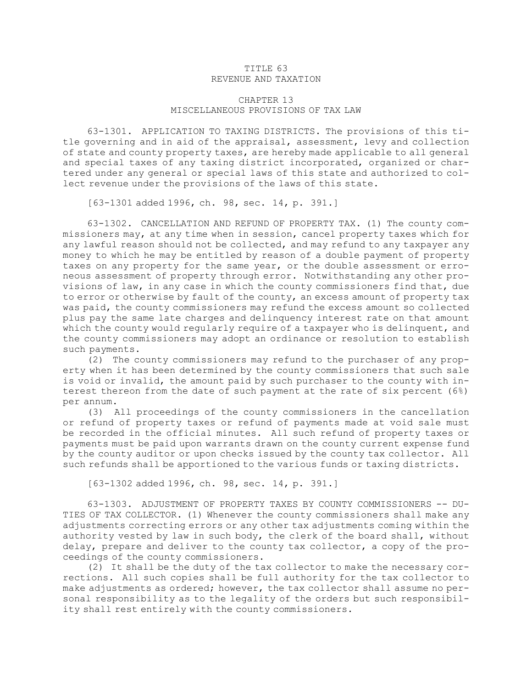## TITLE 63 REVENUE AND TAXATION

## CHAPTER 13 MISCELLANEOUS PROVISIONS OF TAX LAW

63-1301. APPLICATION TO TAXING DISTRICTS. The provisions of this title governing and in aid of the appraisal, assessment, levy and collection of state and county property taxes, are hereby made applicable to all general and special taxes of any taxing district incorporated, organized or chartered under any general or special laws of this state and authorized to collect revenue under the provisions of the laws of this state.

[63-1301 added 1996, ch. 98, sec. 14, p. 391.]

63-1302. CANCELLATION AND REFUND OF PROPERTY TAX. (1) The county commissioners may, at any time when in session, cancel property taxes which for any lawful reason should not be collected, and may refund to any taxpayer any money to which he may be entitled by reason of <sup>a</sup> double payment of property taxes on any property for the same year, or the double assessment or erroneous assessment of property through error. Notwithstanding any other provisions of law, in any case in which the county commissioners find that, due to error or otherwise by fault of the county, an excess amount of property tax was paid, the county commissioners may refund the excess amount so collected plus pay the same late charges and delinquency interest rate on that amount which the county would reqularly require of a taxpayer who is delinquent, and the county commissioners may adopt an ordinance or resolution to establish such payments.

(2) The county commissioners may refund to the purchaser of any property when it has been determined by the county commissioners that such sale is void or invalid, the amount paid by such purchaser to the county with interest thereon from the date of such payment at the rate of six percent (6%) per annum.

(3) All proceedings of the county commissioners in the cancellation or refund of property taxes or refund of payments made at void sale must be recorded in the official minutes. All such refund of property taxes or payments must be paid upon warrants drawn on the county current expense fund by the county auditor or upon checks issued by the county tax collector. All such refunds shall be apportioned to the various funds or taxing districts.

[63-1302 added 1996, ch. 98, sec. 14, p. 391.]

63-1303. ADJUSTMENT OF PROPERTY TAXES BY COUNTY COMMISSIONERS -- DU-TIES OF TAX COLLECTOR. (1) Whenever the county commissioners shall make any adjustments correcting errors or any other tax adjustments coming within the authority vested by law in such body, the clerk of the board shall, without delay, prepare and deliver to the county tax collector, <sup>a</sup> copy of the proceedings of the county commissioners.

(2) It shall be the duty of the tax collector to make the necessary corrections. All such copies shall be full authority for the tax collector to make adjustments as ordered; however, the tax collector shall assume no personal responsibility as to the legality of the orders but such responsibility shall rest entirely with the county commissioners.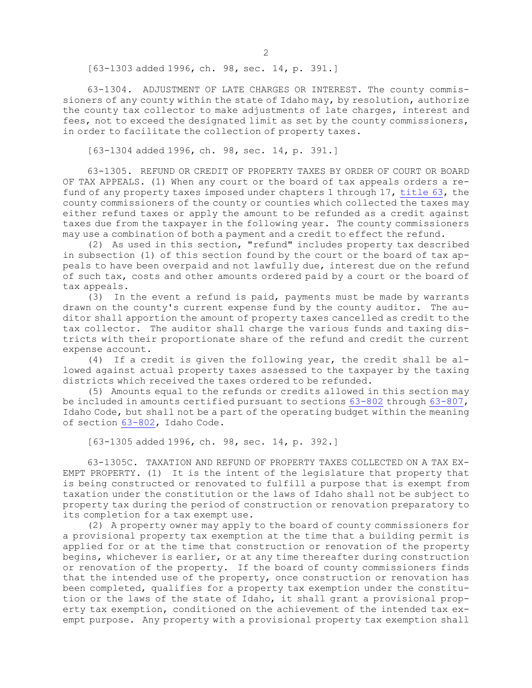[63-1303 added 1996, ch. 98, sec. 14, p. 391.]

63-1304. ADJUSTMENT OF LATE CHARGES OR INTEREST. The county commissioners of any county within the state of Idaho may, by resolution, authorize the county tax collector to make adjustments of late charges, interest and fees, not to exceed the designated limit as set by the county commissioners, in order to facilitate the collection of property taxes.

[63-1304 added 1996, ch. 98, sec. 14, p. 391.]

63-1305. REFUND OR CREDIT OF PROPERTY TAXES BY ORDER OF COURT OR BOARD OF TAX APPEALS. (1) When any court or the board of tax appeals orders <sup>a</sup> refund of any property taxes imposed under chapters 1 through 17, [title](https://legislature.idaho.gov/statutesrules/idstat/Title63/) 63, the county commissioners of the county or counties which collected the taxes may either refund taxes or apply the amount to be refunded as <sup>a</sup> credit against taxes due from the taxpayer in the following year. The county commissioners may use <sup>a</sup> combination of both <sup>a</sup> payment and <sup>a</sup> credit to effect the refund.

(2) As used in this section, "refund" includes property tax described in subsection (1) of this section found by the court or the board of tax appeals to have been overpaid and not lawfully due, interest due on the refund of such tax, costs and other amounts ordered paid by <sup>a</sup> court or the board of tax appeals.

(3) In the event <sup>a</sup> refund is paid, payments must be made by warrants drawn on the county's current expense fund by the county auditor. The auditor shall apportion the amount of property taxes cancelled as credit to the tax collector. The auditor shall charge the various funds and taxing districts with their proportionate share of the refund and credit the current expense account.

(4) If <sup>a</sup> credit is given the following year, the credit shall be allowed against actual property taxes assessed to the taxpayer by the taxing districts which received the taxes ordered to be refunded.

(5) Amounts equal to the refunds or credits allowed in this section may be included in amounts certified pursuant to sections [63-802](https://legislature.idaho.gov/statutesrules/idstat/Title63/T63CH8/SECT63-802) through [63-807](https://legislature.idaho.gov/statutesrules/idstat/Title63/T63CH8/SECT63-807), Idaho Code, but shall not be <sup>a</sup> part of the operating budget within the meaning of section [63-802](https://legislature.idaho.gov/statutesrules/idstat/Title63/T63CH8/SECT63-802), Idaho Code.

[63-1305 added 1996, ch. 98, sec. 14, p. 392.]

63-1305C. TAXATION AND REFUND OF PROPERTY TAXES COLLECTED ON A TAX EX-EMPT PROPERTY. (1) It is the intent of the legislature that property that is being constructed or renovated to fulfill <sup>a</sup> purpose that is exempt from taxation under the constitution or the laws of Idaho shall not be subject to property tax during the period of construction or renovation preparatory to its completion for <sup>a</sup> tax exempt use.

(2) <sup>A</sup> property owner may apply to the board of county commissioners for <sup>a</sup> provisional property tax exemption at the time that <sup>a</sup> building permit is applied for or at the time that construction or renovation of the property begins, whichever is earlier, or at any time thereafter during construction or renovation of the property. If the board of county commissioners finds that the intended use of the property, once construction or renovation has been completed, qualifies for <sup>a</sup> property tax exemption under the constitution or the laws of the state of Idaho, it shall grant <sup>a</sup> provisional property tax exemption, conditioned on the achievement of the intended tax exempt purpose. Any property with <sup>a</sup> provisional property tax exemption shall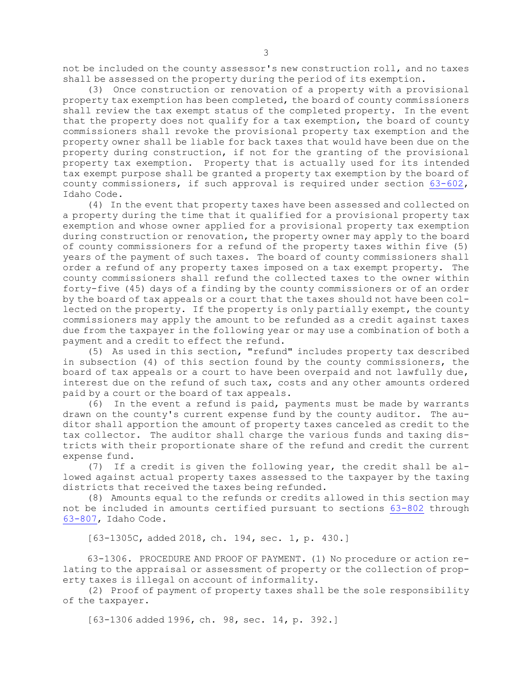not be included on the county assessor's new construction roll, and no taxes shall be assessed on the property during the period of its exemption.

(3) Once construction or renovation of <sup>a</sup> property with <sup>a</sup> provisional property tax exemption has been completed, the board of county commissioners shall review the tax exempt status of the completed property. In the event that the property does not qualify for <sup>a</sup> tax exemption, the board of county commissioners shall revoke the provisional property tax exemption and the property owner shall be liable for back taxes that would have been due on the property during construction, if not for the granting of the provisional property tax exemption. Property that is actually used for its intended tax exempt purpose shall be granted <sup>a</sup> property tax exemption by the board of county commissioners, if such approval is required under section [63-602](https://legislature.idaho.gov/statutesrules/idstat/Title63/T63CH6/SECT63-602), Idaho Code.

(4) In the event that property taxes have been assessed and collected on <sup>a</sup> property during the time that it qualified for <sup>a</sup> provisional property tax exemption and whose owner applied for <sup>a</sup> provisional property tax exemption during construction or renovation, the property owner may apply to the board of county commissioners for <sup>a</sup> refund of the property taxes within five (5) years of the payment of such taxes. The board of county commissioners shall order <sup>a</sup> refund of any property taxes imposed on <sup>a</sup> tax exempt property. The county commissioners shall refund the collected taxes to the owner within forty-five (45) days of <sup>a</sup> finding by the county commissioners or of an order by the board of tax appeals or <sup>a</sup> court that the taxes should not have been collected on the property. If the property is only partially exempt, the county commissioners may apply the amount to be refunded as <sup>a</sup> credit against taxes due from the taxpayer in the following year or may use <sup>a</sup> combination of both <sup>a</sup> payment and <sup>a</sup> credit to effect the refund.

(5) As used in this section, "refund" includes property tax described in subsection (4) of this section found by the county commissioners, the board of tax appeals or <sup>a</sup> court to have been overpaid and not lawfully due, interest due on the refund of such tax, costs and any other amounts ordered paid by <sup>a</sup> court or the board of tax appeals.

(6) In the event <sup>a</sup> refund is paid, payments must be made by warrants drawn on the county's current expense fund by the county auditor. The auditor shall apportion the amount of property taxes canceled as credit to the tax collector. The auditor shall charge the various funds and taxing districts with their proportionate share of the refund and credit the current expense fund.

(7) If <sup>a</sup> credit is given the following year, the credit shall be allowed against actual property taxes assessed to the taxpayer by the taxing districts that received the taxes being refunded.

(8) Amounts equal to the refunds or credits allowed in this section may not be included in amounts certified pursuant to sections [63-802](https://legislature.idaho.gov/statutesrules/idstat/Title63/T63CH8/SECT63-802) through [63-807](https://legislature.idaho.gov/statutesrules/idstat/Title63/T63CH8/SECT63-807), Idaho Code.

[63-1305C, added 2018, ch. 194, sec. 1, p. 430.]

63-1306. PROCEDURE AND PROOF OF PAYMENT. (1) No procedure or action relating to the appraisal or assessment of property or the collection of property taxes is illegal on account of informality.

(2) Proof of payment of property taxes shall be the sole responsibility of the taxpayer.

[63-1306 added 1996, ch. 98, sec. 14, p. 392.]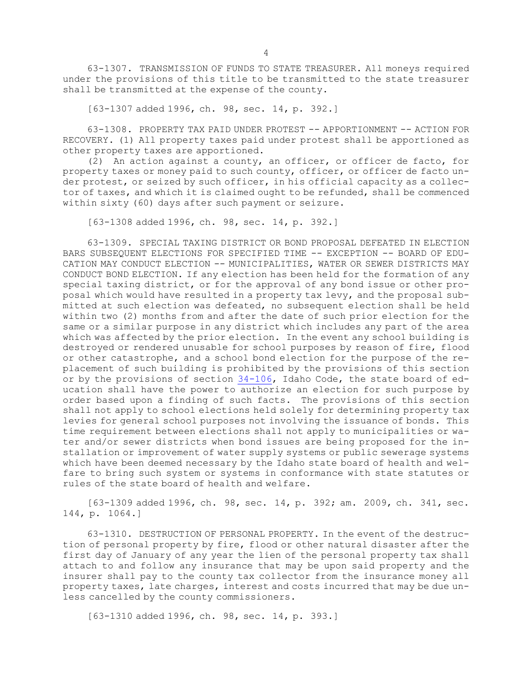63-1307. TRANSMISSION OF FUNDS TO STATE TREASURER. All moneys required under the provisions of this title to be transmitted to the state treasurer shall be transmitted at the expense of the county.

[63-1307 added 1996, ch. 98, sec. 14, p. 392.]

63-1308. PROPERTY TAX PAID UNDER PROTEST -- APPORTIONMENT -- ACTION FOR RECOVERY. (1) All property taxes paid under protest shall be apportioned as other property taxes are apportioned.

(2) An action against <sup>a</sup> county, an officer, or officer de facto, for property taxes or money paid to such county, officer, or officer de facto under protest, or seized by such officer, in his official capacity as <sup>a</sup> collector of taxes, and which it is claimed ought to be refunded, shall be commenced within sixty (60) days after such payment or seizure.

[63-1308 added 1996, ch. 98, sec. 14, p. 392.]

63-1309. SPECIAL TAXING DISTRICT OR BOND PROPOSAL DEFEATED IN ELECTION BARS SUBSEQUENT ELECTIONS FOR SPECIFIED TIME -- EXCEPTION -- BOARD OF EDU-CATION MAY CONDUCT ELECTION -- MUNICIPALITIES, WATER OR SEWER DISTRICTS MAY CONDUCT BOND ELECTION. If any election has been held for the formation of any special taxing district, or for the approval of any bond issue or other proposal which would have resulted in <sup>a</sup> property tax levy, and the proposal submitted at such election was defeated, no subsequent election shall be held within two (2) months from and after the date of such prior election for the same or <sup>a</sup> similar purpose in any district which includes any part of the area which was affected by the prior election. In the event any school building is destroyed or rendered unusable for school purposes by reason of fire, flood or other catastrophe, and <sup>a</sup> school bond election for the purpose of the replacement of such building is prohibited by the provisions of this section or by the provisions of section [34-106](https://legislature.idaho.gov/statutesrules/idstat/Title34/T34CH1/SECT34-106), Idaho Code, the state board of education shall have the power to authorize an election for such purpose by order based upon <sup>a</sup> finding of such facts. The provisions of this section shall not apply to school elections held solely for determining property tax levies for general school purposes not involving the issuance of bonds. This time requirement between elections shall not apply to municipalities or water and/or sewer districts when bond issues are being proposed for the installation or improvement of water supply systems or public sewerage systems which have been deemed necessary by the Idaho state board of health and welfare to bring such system or systems in conformance with state statutes or rules of the state board of health and welfare.

[63-1309 added 1996, ch. 98, sec. 14, p. 392; am. 2009, ch. 341, sec. 144, p. 1064.]

63-1310. DESTRUCTION OF PERSONAL PROPERTY. In the event of the destruction of personal property by fire, flood or other natural disaster after the first day of January of any year the lien of the personal property tax shall attach to and follow any insurance that may be upon said property and the insurer shall pay to the county tax collector from the insurance money all property taxes, late charges, interest and costs incurred that may be due unless cancelled by the county commissioners.

[63-1310 added 1996, ch. 98, sec. 14, p. 393.]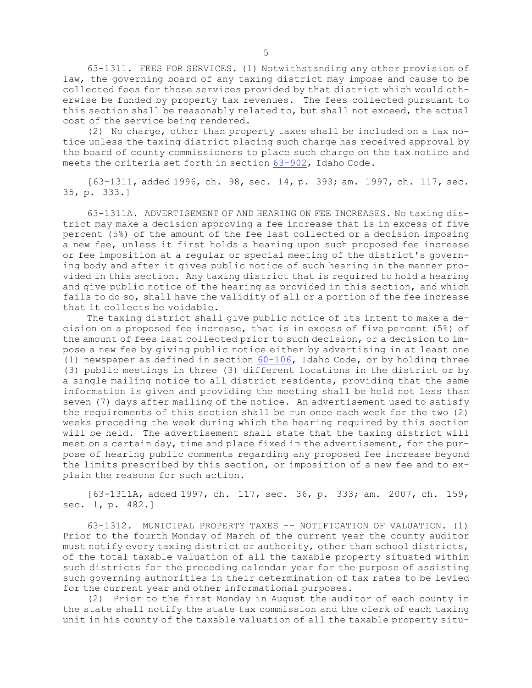63-1311. FEES FOR SERVICES. (1) Notwithstanding any other provision of law, the governing board of any taxing district may impose and cause to be collected fees for those services provided by that district which would otherwise be funded by property tax revenues. The fees collected pursuant to this section shall be reasonably related to, but shall not exceed, the actual cost of the service being rendered.

(2) No charge, other than property taxes shall be included on <sup>a</sup> tax notice unless the taxing district placing such charge has received approval by the board of county commissioners to place such charge on the tax notice and meets the criteria set forth in section [63-902](https://legislature.idaho.gov/statutesrules/idstat/Title63/T63CH9/SECT63-902), Idaho Code.

[63-1311, added 1996, ch. 98, sec. 14, p. 393; am. 1997, ch. 117, sec. 35, p. 333.]

63-1311A. ADVERTISEMENT OF AND HEARING ON FEE INCREASES. No taxing district may make <sup>a</sup> decision approving <sup>a</sup> fee increase that is in excess of five percent (5%) of the amount of the fee last collected or <sup>a</sup> decision imposing <sup>a</sup> new fee, unless it first holds <sup>a</sup> hearing upon such proposed fee increase or fee imposition at <sup>a</sup> regular or special meeting of the district's governing body and after it gives public notice of such hearing in the manner provided in this section. Any taxing district that is required to hold <sup>a</sup> hearing and give public notice of the hearing as provided in this section, and which fails to do so, shall have the validity of all or <sup>a</sup> portion of the fee increase that it collects be voidable.

The taxing district shall give public notice of its intent to make <sup>a</sup> decision on <sup>a</sup> proposed fee increase, that is in excess of five percent (5%) of the amount of fees last collected prior to such decision, or <sup>a</sup> decision to impose <sup>a</sup> new fee by giving public notice either by advertising in at least one (1) newspaper as defined in section [60-106](https://legislature.idaho.gov/statutesrules/idstat/Title60/T60CH1/SECT60-106), Idaho Code, or by holding three (3) public meetings in three (3) different locations in the district or by <sup>a</sup> single mailing notice to all district residents, providing that the same information is given and providing the meeting shall be held not less than seven (7) days after mailing of the notice. An advertisement used to satisfy the requirements of this section shall be run once each week for the two (2) weeks preceding the week during which the hearing required by this section will be held. The advertisement shall state that the taxing district will meet on <sup>a</sup> certain day, time and place fixed in the advertisement, for the purpose of hearing public comments regarding any proposed fee increase beyond the limits prescribed by this section, or imposition of <sup>a</sup> new fee and to explain the reasons for such action.

[63-1311A, added 1997, ch. 117, sec. 36, p. 333; am. 2007, ch. 159, sec. 1, p. 482.]

63-1312. MUNICIPAL PROPERTY TAXES -- NOTIFICATION OF VALUATION. (1) Prior to the fourth Monday of March of the current year the county auditor must notify every taxing district or authority, other than school districts, of the total taxable valuation of all the taxable property situated within such districts for the preceding calendar year for the purpose of assisting such governing authorities in their determination of tax rates to be levied for the current year and other informational purposes.

(2) Prior to the first Monday in August the auditor of each county in the state shall notify the state tax commission and the clerk of each taxing unit in his county of the taxable valuation of all the taxable property situ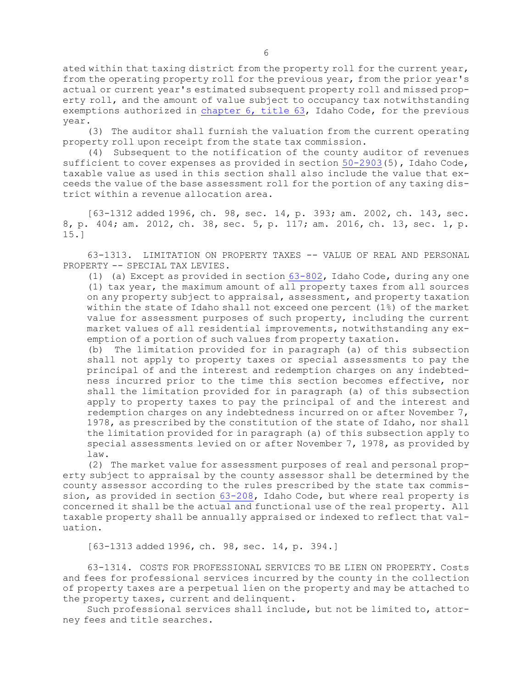ated within that taxing district from the property roll for the current year, from the operating property roll for the previous year, from the prior year's actual or current year's estimated subsequent property roll and missed property roll, and the amount of value subject to occupancy tax notwithstanding exemptions authorized in [chapter](https://legislature.idaho.gov/statutesrules/idstat/Title63/T63CH6) 6, title 63, Idaho Code, for the previous year.

(3) The auditor shall furnish the valuation from the current operating property roll upon receipt from the state tax commission.

(4) Subsequent to the notification of the county auditor of revenues sufficient to cover expenses as provided in section [50-2903](https://legislature.idaho.gov/statutesrules/idstat/Title50/T50CH29/SECT50-2903)(5), Idaho Code, taxable value as used in this section shall also include the value that exceeds the value of the base assessment roll for the portion of any taxing district within <sup>a</sup> revenue allocation area.

[63-1312 added 1996, ch. 98, sec. 14, p. 393; am. 2002, ch. 143, sec. 8, p. 404; am. 2012, ch. 38, sec. 5, p. 117; am. 2016, ch. 13, sec. 1, p. 15.]

63-1313. LIMITATION ON PROPERTY TAXES -- VALUE OF REAL AND PERSONAL PROPERTY -- SPECIAL TAX LEVIES.

(1) (a) Except as provided in section [63-802](https://legislature.idaho.gov/statutesrules/idstat/Title63/T63CH8/SECT63-802), Idaho Code, during any one (1) tax year, the maximum amount of all property taxes from all sources on any property subject to appraisal, assessment, and property taxation within the state of Idaho shall not exceed one percent (1%) of the market value for assessment purposes of such property, including the current market values of all residential improvements, notwithstanding any exemption of <sup>a</sup> portion of such values from property taxation.

(b) The limitation provided for in paragraph (a) of this subsection shall not apply to property taxes or special assessments to pay the principal of and the interest and redemption charges on any indebtedness incurred prior to the time this section becomes effective, nor shall the limitation provided for in paragraph (a) of this subsection apply to property taxes to pay the principal of and the interest and redemption charges on any indebtedness incurred on or after November 7, 1978, as prescribed by the constitution of the state of Idaho, nor shall the limitation provided for in paragraph (a) of this subsection apply to special assessments levied on or after November 7, 1978, as provided by law.

(2) The market value for assessment purposes of real and personal property subject to appraisal by the county assessor shall be determined by the county assessor according to the rules prescribed by the state tax commis-sion, as provided in section [63-208](https://legislature.idaho.gov/statutesrules/idstat/Title63/T63CH2/SECT63-208), Idaho Code, but where real property is concerned it shall be the actual and functional use of the real property. All taxable property shall be annually appraised or indexed to reflect that valuation.

[63-1313 added 1996, ch. 98, sec. 14, p. 394.]

63-1314. COSTS FOR PROFESSIONAL SERVICES TO BE LIEN ON PROPERTY. Costs and fees for professional services incurred by the county in the collection of property taxes are <sup>a</sup> perpetual lien on the property and may be attached to the property taxes, current and delinquent.

Such professional services shall include, but not be limited to, attorney fees and title searches.